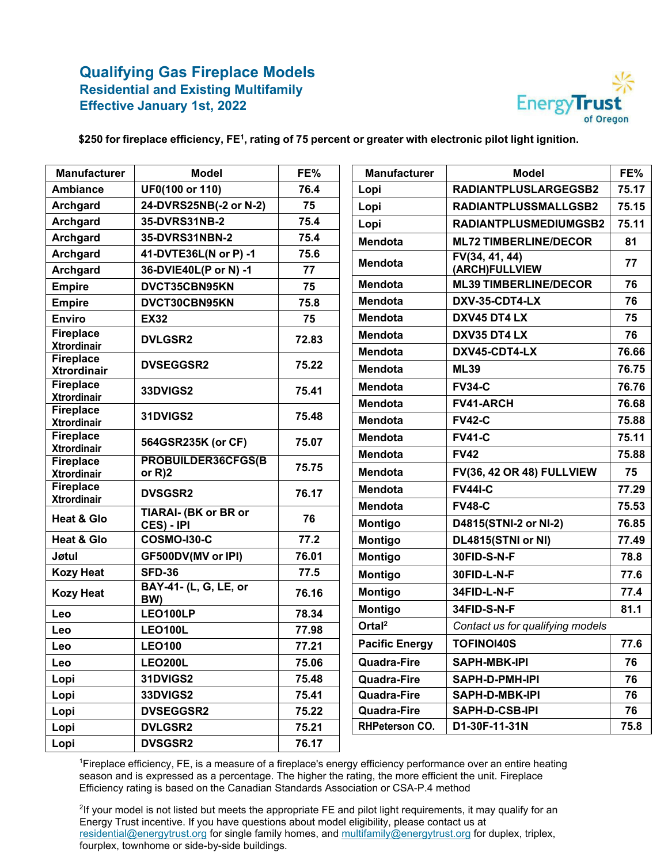

**\$250 for fireplace efficiency, FE1, rating of 75 percent or greater with electronic pilot light ignition.**

| <b>Manufacturer</b>                    | <b>Model</b>                 | FE%   | <b>Manufacturer</b>   | <b>Model</b>                     | FE%   |
|----------------------------------------|------------------------------|-------|-----------------------|----------------------------------|-------|
| <b>Ambiance</b>                        | UF0(100 or 110)              | 76.4  | Lopi                  | RADIANTPLUSLARGEGSB2             | 75.17 |
| <b>Archgard</b>                        | 24-DVRS25NB(-2 or N-2)       | 75    | Lopi                  | RADIANTPLUSSMALLGSB2             | 75.15 |
| <b>Archgard</b>                        | 35-DVRS31NB-2                | 75.4  | Lopi                  | RADIANTPLUSMEDIUMGSB2            | 75.11 |
| <b>Archgard</b>                        | 35-DVRS31NBN-2               | 75.4  | Mendota               | <b>ML72 TIMBERLINE/DECOR</b>     | 81    |
| <b>Archgard</b>                        | 41-DVTE36L(N or P) -1        | 75.6  | <b>Mendota</b>        | FV(34, 41, 44)                   | 77    |
| <b>Archgard</b>                        | 36-DVIE40L(P or N) -1        | 77    |                       | (ARCH)FULLVIEW                   |       |
| <b>Empire</b>                          | DVCT35CBN95KN                | 75    | <b>Mendota</b>        | <b>ML39 TIMBERLINE/DECOR</b>     | 76    |
| <b>Empire</b>                          | DVCT30CBN95KN                | 75.8  | <b>Mendota</b>        | DXV-35-CDT4-LX                   |       |
| <b>Enviro</b>                          | <b>EX32</b>                  | 75    | <b>Mendota</b>        | DXV45 DT4 LX                     | 75    |
| <b>Fireplace</b>                       | <b>DVLGSR2</b>               | 72.83 | <b>Mendota</b>        | DXV35 DT4 LX                     | 76    |
| <b>Xtrordinair</b><br><b>Fireplace</b> |                              |       | <b>Mendota</b>        | DXV45-CDT4-LX                    | 76.66 |
| <b>Xtrordinair</b>                     | <b>DVSEGGSR2</b>             | 75.22 | <b>Mendota</b>        | <b>ML39</b>                      | 76.75 |
| <b>Fireplace</b>                       | 33DVIGS2                     | 75.41 | <b>Mendota</b>        | <b>FV34-C</b>                    | 76.76 |
| <b>Xtrordinair</b><br><b>Fireplace</b> |                              |       | <b>Mendota</b>        | FV41-ARCH                        | 76.68 |
| <b>Xtrordinair</b>                     | 31DVIGS2                     | 75.48 | <b>Mendota</b>        | <b>FV42-C</b>                    | 75.88 |
| <b>Fireplace</b><br><b>Xtrordinair</b> | 564GSR235K (or CF)           | 75.07 | <b>Mendota</b>        | <b>FV41-C</b>                    | 75.11 |
| <b>Fireplace</b>                       | PROBUILDER36CFGS(B           |       | <b>Mendota</b>        | <b>FV42</b>                      | 75.88 |
| <b>Xtrordinair</b>                     | or $R$ )2                    | 75.75 | <b>Mendota</b>        | <b>FV(36, 42 OR 48) FULLVIEW</b> | 75    |
| <b>Fireplace</b><br><b>Xtrordinair</b> | <b>DVSGSR2</b>               | 76.17 | <b>Mendota</b>        | <b>FV44I-C</b>                   | 77.29 |
|                                        | <b>TIARAI- (BK or BR or</b>  |       | <b>Mendota</b>        | <b>FV48-C</b>                    | 75.53 |
| <b>Heat &amp; Glo</b>                  | CES) - IPI                   | 76    | <b>Montigo</b>        | D4815(STNI-2 or NI-2)            | 76.85 |
| <b>Heat &amp; Glo</b>                  | <b>COSMO-I30-C</b>           | 77.2  | <b>Montigo</b>        | DL4815(STNI or NI)               | 77.49 |
| Jøtul                                  | GF500DV(MV or IPI)           | 76.01 | <b>Montigo</b>        | 30FID-S-N-F                      | 78.8  |
| <b>Kozy Heat</b>                       | <b>SFD-36</b>                | 77.5  | <b>Montigo</b>        | 30FID-L-N-F                      | 77.6  |
| <b>Kozy Heat</b>                       | BAY-41- (L, G, LE, or<br>BW) | 76.16 | <b>Montigo</b>        | 34FID-L-N-F                      | 77.4  |
| Leo                                    | LEO100LP                     | 78.34 | <b>Montigo</b>        | 34FID-S-N-F                      | 81.1  |
| Leo                                    | <b>LEO100L</b>               | 77.98 | Ortal <sup>2</sup>    | Contact us for qualifying models |       |
| Leo                                    | <b>LEO100</b>                | 77.21 | <b>Pacific Energy</b> | <b>TOFINOI40S</b>                | 77.6  |
| Leo                                    | <b>LEO200L</b>               | 75.06 | <b>Quadra-Fire</b>    | <b>SAPH-MBK-IPI</b>              | 76    |
| Lopi                                   | 31DVIGS2                     | 75.48 | <b>Quadra-Fire</b>    | SAPH-D-PMH-IPI                   | 76    |
| Lopi                                   | 33DVIGS2                     | 75.41 | Quadra-Fire           | SAPH-D-MBK-IPI                   | 76    |
| Lopi                                   | <b>DVSEGGSR2</b>             | 75.22 | <b>Quadra-Fire</b>    | SAPH-D-CSB-IPI                   | 76    |
| Lopi                                   | <b>DVLGSR2</b>               | 75.21 | <b>RHPeterson CO.</b> | D1-30F-11-31N                    | 75.8  |
| Lopi                                   | <b>DVSGSR2</b>               | 76.17 |                       |                                  |       |

1 Fireplace efficiency, FE, is a measure of a fireplace's energy efficiency performance over an entire heating season and is expressed as a percentage. The higher the rating, the more efficient the unit. Fireplace Efficiency rating is based on the Canadian Standards Association or CSA-P.4 method

2 If your model is not listed but meets the appropriate FE and pilot light requirements, it may qualify for an Energy Trust incentive. If you have questions about model eligibility, please contact us at [residential@energytrust.org](mailto:residential@energytrust.org) for single family homes, and [multifamily@energytrust.org](mailto:multifamily@energytrust.org) for duplex, triplex, fourplex, townhome or side-by-side buildings.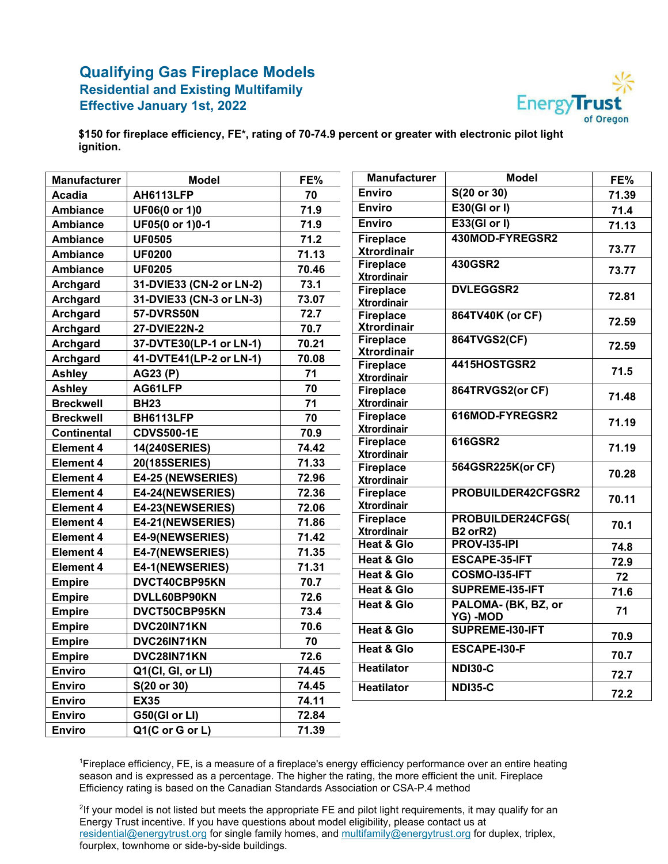

**\$150 for fireplace efficiency, FE\*, rating of 70-74.9 percent or greater with electronic pilot light ignition.**

| <b>Manufacturer</b> | <b>Model</b>             | FE%   | <b>Manufacturer</b>                         | <b>Model</b>                           | FE%    |
|---------------------|--------------------------|-------|---------------------------------------------|----------------------------------------|--------|
| <b>Acadia</b>       | AH6113LFP                | 70    | <b>Enviro</b>                               | S(20 or 30)                            | 71.39  |
| <b>Ambiance</b>     | UF06(0 or 1)0            | 71.9  | <b>Enviro</b>                               | E30(GI or I)                           | 71.4   |
| <b>Ambiance</b>     | UF05(0 or 1)0-1          | 71.9  | <b>Enviro</b>                               | E33(GI or I)                           | 71.13  |
| <b>Ambiance</b>     | <b>UF0505</b>            | 71.2  | <b>Fireplace</b>                            | 430MOD-FYREGSR2                        |        |
| <b>Ambiance</b>     | <b>UF0200</b>            | 71.13 | <b>Xtrordinair</b>                          |                                        | 73.77  |
| <b>Ambiance</b>     | <b>UF0205</b>            | 70.46 | <b>Fireplace</b><br><b>Xtrordinair</b>      | 430GSR2                                | 73.77  |
| Archgard            | 31-DVIE33 (CN-2 or LN-2) | 73.1  | <b>Fireplace</b>                            | <b>DVLEGGSR2</b>                       |        |
| <b>Archgard</b>     | 31-DVIE33 (CN-3 or LN-3) | 73.07 | <b>Xtrordinair</b>                          |                                        | 72.81  |
| Archgard            | 57-DVRS50N               | 72.7  | <b>Fireplace</b>                            | 864TV40K (or CF)                       | 72.59  |
| <b>Archgard</b>     | 27-DVIE22N-2             | 70.7  | <b>Xtrordinair</b>                          |                                        |        |
| <b>Archgard</b>     | 37-DVTE30(LP-1 or LN-1)  | 70.21 | <b>Fireplace</b>                            | 864TVGS2(CF)                           | 72.59  |
| <b>Archgard</b>     | 41-DVTE41(LP-2 or LN-1)  | 70.08 | <b>Xtrordinair</b><br><b>Fireplace</b>      | 4415HOSTGSR2                           |        |
| <b>Ashley</b>       | AG23 (P)                 | 71    | <b>Xtrordinair</b>                          |                                        | $71.5$ |
| <b>Ashley</b>       | AG61LFP                  | 70    | <b>Fireplace</b>                            | 864TRVGS2(or CF)                       |        |
| <b>Breckwell</b>    | <b>BH23</b>              | 71    | <b>Xtrordinair</b>                          |                                        | 71.48  |
| <b>Breckwell</b>    | BH6113LFP                | 70    | <b>Fireplace</b>                            | 616MOD-FYREGSR2                        | 71.19  |
| Continental         | <b>CDVS500-1E</b>        | 70.9  | <b>Xtrordinair</b>                          |                                        |        |
| <b>Element 4</b>    | <b>14(240SERIES)</b>     | 74.42 | <b>Fireplace</b><br><b>Xtrordinair</b>      | 616GSR2                                | 71.19  |
| <b>Element 4</b>    | 20(185SERIES)            | 71.33 | <b>Fireplace</b>                            | 564GSR225K(or CF)                      |        |
| <b>Element 4</b>    | E4-25 (NEWSERIES)        | 72.96 | <b>Xtrordinair</b>                          |                                        | 70.28  |
| Element 4           | E4-24(NEWSERIES)         | 72.36 | <b>Fireplace</b>                            | PROBUILDER42CFGSR2                     | 70.11  |
| <b>Element 4</b>    | E4-23(NEWSERIES)         | 72.06 | <b>Xtrordinair</b>                          |                                        |        |
| <b>Element 4</b>    | E4-21(NEWSERIES)         | 71.86 | <b>Fireplace</b>                            | PROBUILDER24CFGS(                      | 70.1   |
| <b>Element 4</b>    | E4-9(NEWSERIES)          | 71.42 | <b>Xtrordinair</b><br><b>Heat &amp; Glo</b> | <b>B2 orR2)</b><br><b>PROV-135-IPI</b> |        |
| <b>Element 4</b>    | E4-7(NEWSERIES)          | 71.35 | <b>Heat &amp; Glo</b>                       | ESCAPE-35-IFT                          | 74.8   |
| <b>Element 4</b>    | E4-1(NEWSERIES)          | 71.31 | <b>Heat &amp; Glo</b>                       | COSMO-135-IFT                          | 72.9   |
| <b>Empire</b>       | DVCT40CBP95KN            | 70.7  | <b>Heat &amp; Glo</b>                       | <b>SUPREME-135-IFT</b>                 | 72     |
| <b>Empire</b>       | DVLL60BP90KN             | 72.6  | <b>Heat &amp; Glo</b>                       | PALOMA- (BK, BZ, or                    | 71.6   |
| <b>Empire</b>       | DVCT50CBP95KN            | 73.4  |                                             | YG) - MOD                              | 71     |
| <b>Empire</b>       | DVC20IN71KN              | 70.6  | <b>Heat &amp; Glo</b>                       | SUPREME-130-IFT                        |        |
| <b>Empire</b>       | DVC26IN71KN              | 70    | <b>Heat &amp; Glo</b>                       |                                        | 70.9   |
| <b>Empire</b>       | DVC28IN71KN              | 72.6  |                                             | ESCAPE-I30-F                           | 70.7   |
| <b>Enviro</b>       | Q1(Cl, Gl, or Ll)        | 74.45 | <b>Heatilator</b>                           | <b>NDI30-C</b>                         | 72.7   |
| <b>Enviro</b>       | S(20 or 30)              | 74.45 | <b>Heatilator</b>                           | <b>NDI35-C</b>                         |        |
| <b>Enviro</b>       | <b>EX35</b>              | 74.11 |                                             |                                        | 72.2   |
| <b>Enviro</b>       | G50(GI or LI)            | 72.84 |                                             |                                        |        |
| <b>Enviro</b>       | Q1(C or G or L)          | 71.39 |                                             |                                        |        |

1 Fireplace efficiency, FE, is a measure of a fireplace's energy efficiency performance over an entire heating season and is expressed as a percentage. The higher the rating, the more efficient the unit. Fireplace Efficiency rating is based on the Canadian Standards Association or CSA-P.4 method

2 If your model is not listed but meets the appropriate FE and pilot light requirements, it may qualify for an Energy Trust incentive. If you have questions about model eligibility, please contact us at [residential@energytrust.org](mailto:residential@energytrust.org) for single family homes, and [multifamily@energytrust.org](mailto:multifamily@energytrust.org) for duplex, triplex, fourplex, townhome or side-by-side buildings.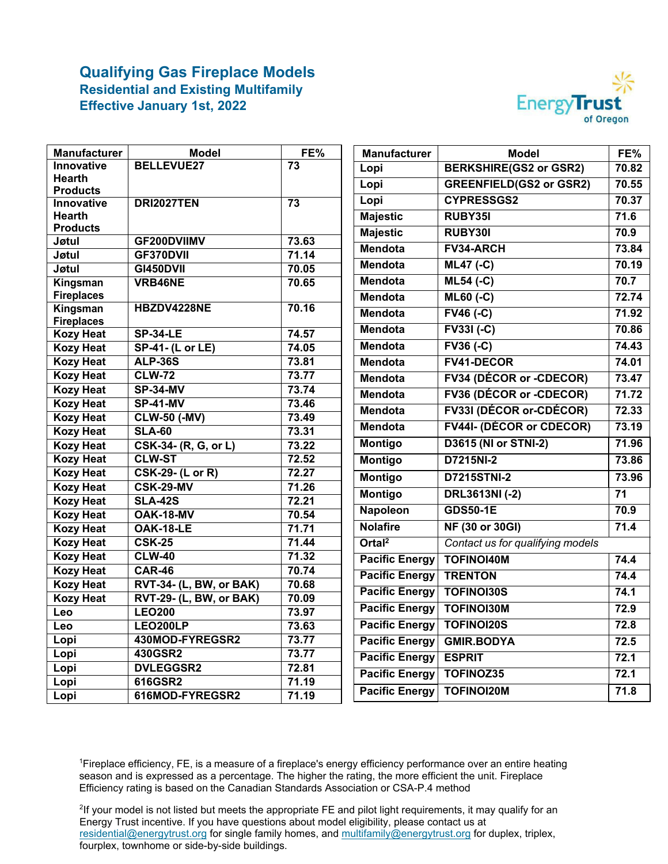

| Manufacturer                         | <b>Model</b>                               | FE%             | <b>Manufacturer</b>   | <b>Model</b>                     | FE%               |
|--------------------------------------|--------------------------------------------|-----------------|-----------------------|----------------------------------|-------------------|
| Innovative                           | <b>BELLEVUE27</b>                          | 73              | Lopi                  | <b>BERKSHIRE(GS2 or GSR2)</b>    | 70.82             |
| Hearth                               |                                            |                 | Lopi                  | <b>GREENFIELD(GS2 or GSR2)</b>   | 70.55             |
| <b>Products</b><br><b>Innovative</b> | <b>DRI2027TEN</b>                          | $\overline{73}$ | Lopi                  | <b>CYPRESSGS2</b>                | 70.37             |
| <b>Hearth</b>                        |                                            |                 | <b>Majestic</b>       | RUBY35I                          | 71.6              |
| <b>Products</b>                      |                                            |                 |                       | RUBY301                          | 70.9              |
| Jøtul                                | GF200DVIIMV                                | 73.63           | <b>Majestic</b>       |                                  |                   |
| Jøtul                                | GF370DVII                                  | 71.14           | <b>Mendota</b>        | FV34-ARCH                        | 73.84             |
| Jøtul                                | <b>GI450DVII</b>                           | 70.05           | <b>Mendota</b>        | $ML47 (-C)$                      | 70.19             |
| Kingsman                             | VRB46NE                                    | 70.65           | Mendota               | <b>ML54 (-C)</b>                 | 70.7              |
| <b>Fireplaces</b>                    |                                            |                 | <b>Mendota</b>        | $\overline{\mathsf{ML60}}$ (-C)  | 72.74             |
| Kingsman                             | HBZDV4228NE                                | 70.16           | <b>Mendota</b>        | $\overline{FV46}$ (-C)           | 71.92             |
| <b>Fireplaces</b>                    |                                            |                 | <b>Mendota</b>        | $FV33I(-C)$                      | 70.86             |
| <b>Kozy Heat</b>                     | <b>SP-34-LE</b><br><b>SP-41- (L or LE)</b> | 74.57<br>74.05  | <b>Mendota</b>        | $FV36(-C)$                       | 74.43             |
| <b>Kozy Heat</b><br><b>Kozy Heat</b> | <b>ALP-36S</b>                             | 73.81           | <b>Mendota</b>        | <b>FV41-DECOR</b>                | 74.01             |
| <b>Kozy Heat</b>                     | <b>CLW-72</b>                              | 73.77           |                       |                                  |                   |
| <b>Kozy Heat</b>                     | <b>SP-34-MV</b>                            | 73.74           | <b>Mendota</b>        | <b>FV34 (DÉCOR or -CDECOR)</b>   | 73.47             |
| <b>Kozy Heat</b>                     | <b>SP-41-MV</b>                            | 73.46           | <b>Mendota</b>        | <b>FV36 (DÉCOR or -CDECOR)</b>   | 71.72             |
| <b>Kozy Heat</b>                     | <b>CLW-50 (-MV)</b>                        | 73.49           | <b>Mendota</b>        | FV33I (DÉCOR or-CDÉCOR)          | 72.33             |
| <b>Kozy Heat</b>                     | <b>SLA-60</b>                              | 73.31           | <b>Mendota</b>        | <b>FV44I- (DÉCOR or CDECOR)</b>  | 73.19             |
| <b>Kozy Heat</b>                     | CSK-34- (R, G, or L)                       | 73.22           | <b>Montigo</b>        | <b>D3615 (NI or STNI-2)</b>      | 71.96             |
| <b>Kozy Heat</b>                     | <b>CLW-ST</b>                              | 72.52           | <b>Montigo</b>        | D7215NI-2                        | 73.86             |
| <b>Kozy Heat</b>                     | <b>CSK-29- (L or R)</b>                    | 72.27           | <b>Montigo</b>        | <b>D7215STNI-2</b>               | 73.96             |
| <b>Kozy Heat</b>                     | <b>CSK-29-MV</b>                           | 71.26           |                       |                                  | $\overline{71}$   |
| <b>Kozy Heat</b>                     | <b>SLA-42S</b>                             | 72.21           | <b>Montigo</b>        | <b>DRL3613NI (-2)</b>            |                   |
| <b>Kozy Heat</b>                     | <b>OAK-18-MV</b>                           | 70.54           | <b>Napoleon</b>       | <b>GDS50-1E</b>                  | 70.9              |
| <b>Kozy Heat</b>                     | <b>OAK-18-LE</b>                           | 71.71           | <b>Nolafire</b>       | <b>NF (30 or 30GI)</b>           | 71.4              |
| <b>Kozy Heat</b>                     | <b>CSK-25</b>                              | 71.44           | Ortal <sup>2</sup>    | Contact us for qualifying models |                   |
| <b>Kozy Heat</b>                     | <b>CLW-40</b>                              | 71.32           | <b>Pacific Energy</b> | <b>TOFINOI40M</b>                | 74.4              |
| <b>Kozy Heat</b>                     | <b>CAR-46</b>                              | 70.74           | <b>Pacific Energy</b> | <b>TRENTON</b>                   | 74.4              |
| <b>Kozy Heat</b>                     | <b>RVT-34- (L, BW, or BAK)</b>             | 70.68           | <b>Pacific Energy</b> | <b>TOFINOI30S</b>                | 74.1              |
| <b>Kozy Heat</b>                     | <b>RVT-29- (L, BW, or BAK)</b>             | 70.09           | <b>Pacific Energy</b> | <b>TOFINOI30M</b>                | 72.9              |
| Leo                                  | <b>LEO200</b>                              | 73.97           |                       |                                  |                   |
| Leo                                  | LEO200LP                                   | 73.63           | <b>Pacific Energy</b> | <b>TOFINOI20S</b>                | 72.8              |
| Lopi                                 | 430MOD-FYREGSR2                            | 73.77           | <b>Pacific Energy</b> | <b>GMIR.BODYA</b>                | $72.5$            |
| Lopi                                 | 430GSR2                                    | 73.77           | <b>Pacific Energy</b> | <b>ESPRIT</b>                    | 72.1              |
| Lopi                                 | <b>DVLEGGSR2</b>                           | 72.81           | <b>Pacific Energy</b> | <b>TOFINOZ35</b>                 | 72.1              |
| Lopi                                 | 616GSR2                                    | 71.19           | <b>Pacific Energy</b> | <b>TOFINOI20M</b>                | $\overline{71.8}$ |
| Lopi                                 | 616MOD-FYREGSR2                            | 71.19           |                       |                                  |                   |

1 Fireplace efficiency, FE, is a measure of a fireplace's energy efficiency performance over an entire heating season and is expressed as a percentage. The higher the rating, the more efficient the unit. Fireplace Efficiency rating is based on the Canadian Standards Association or CSA-P.4 method

2 If your model is not listed but meets the appropriate FE and pilot light requirements, it may qualify for an Energy Trust incentive. If you have questions about model eligibility, please contact us at [residential@energytrust.org](mailto:residential@energytrust.org) for single family homes, and [multifamily@energytrust.org](mailto:multifamily@energytrust.org) for duplex, triplex, fourplex, townhome or side-by-side buildings.